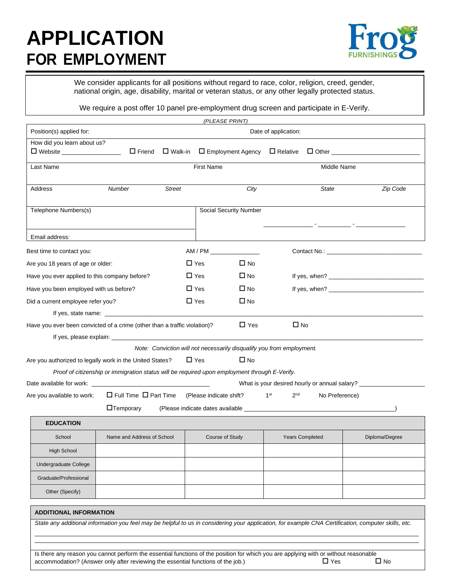## **APPLICATION FOR EMPLOYMENT**



We consider applicants for all positions without regard to race, color, religion, creed, gender, national origin, age, disability, marital or veteran status, or any other legally protected status.

We require a post offer 10 panel pre-employment drug screen and participate in E-Verify.

| Date of application:<br>How did you learn about us?<br>$\Box$ Friend<br>$\Box$ Relative<br>□ Website <u>________________</u> ___<br>$\Box$ Walk-in<br>$\Box$ Employment Agency<br><b>First Name</b><br>Middle Name<br>Last Name<br>City<br><b>State</b><br>Address<br>Number<br><b>Street</b><br>Telephone Numbers(s)<br>Social Security Number<br><u> 1989 - John Harry Barn, mars francouzski filozof (</u><br>Email address:<br>AM / PM<br>Best time to contact you:<br>$\Box$ Yes<br>$\Box$ No<br>Are you 18 years of age or older:<br>$\square$ No<br>Have you ever applied to this company before?<br>$\square$ Yes<br>$\Box$ Yes<br>$\square$ No<br>If yes, when?<br>Have you been employed with us before?<br>$\Box$ Yes<br>$\Box$ No<br>Did a current employee refer you?<br>$\Box$ No<br>$\Box$ Yes<br>Have you ever been convicted of a crime (other than a traffic violation)?<br>Note: Conviction will not necessarily disqualify you from employment.<br>$\Box$ Yes<br>$\square$ No<br>Are you authorized to legally work in the United States?<br>Proof of citizenship or immigration status will be required upon employment through E-Verify.<br>What is your desired hourly or annual salary? __________________________________<br>1 <sup>st</sup><br>2 <sup>nd</sup><br>$\Box$ Full Time $\Box$ Part Time (Please indicate shift?<br>Are you available to work:<br>No Preference)<br>$\Box$ Temporary<br><b>EDUCATION</b><br>Name and Address of School<br><b>Years Completed</b><br>School<br>Course of Study<br>High School<br>Undergraduate College<br>Graduate/Professional<br>Other (Specify) |                          |  | (PLEASE PRINT) |  |                |
|------------------------------------------------------------------------------------------------------------------------------------------------------------------------------------------------------------------------------------------------------------------------------------------------------------------------------------------------------------------------------------------------------------------------------------------------------------------------------------------------------------------------------------------------------------------------------------------------------------------------------------------------------------------------------------------------------------------------------------------------------------------------------------------------------------------------------------------------------------------------------------------------------------------------------------------------------------------------------------------------------------------------------------------------------------------------------------------------------------------------------------------------------------------------------------------------------------------------------------------------------------------------------------------------------------------------------------------------------------------------------------------------------------------------------------------------------------------------------------------------------------------------------------------------------------------------------------------------------------------------|--------------------------|--|----------------|--|----------------|
|                                                                                                                                                                                                                                                                                                                                                                                                                                                                                                                                                                                                                                                                                                                                                                                                                                                                                                                                                                                                                                                                                                                                                                                                                                                                                                                                                                                                                                                                                                                                                                                                                        | Position(s) applied for: |  |                |  |                |
|                                                                                                                                                                                                                                                                                                                                                                                                                                                                                                                                                                                                                                                                                                                                                                                                                                                                                                                                                                                                                                                                                                                                                                                                                                                                                                                                                                                                                                                                                                                                                                                                                        |                          |  |                |  |                |
|                                                                                                                                                                                                                                                                                                                                                                                                                                                                                                                                                                                                                                                                                                                                                                                                                                                                                                                                                                                                                                                                                                                                                                                                                                                                                                                                                                                                                                                                                                                                                                                                                        |                          |  |                |  |                |
|                                                                                                                                                                                                                                                                                                                                                                                                                                                                                                                                                                                                                                                                                                                                                                                                                                                                                                                                                                                                                                                                                                                                                                                                                                                                                                                                                                                                                                                                                                                                                                                                                        |                          |  |                |  |                |
|                                                                                                                                                                                                                                                                                                                                                                                                                                                                                                                                                                                                                                                                                                                                                                                                                                                                                                                                                                                                                                                                                                                                                                                                                                                                                                                                                                                                                                                                                                                                                                                                                        |                          |  |                |  | Zip Code       |
|                                                                                                                                                                                                                                                                                                                                                                                                                                                                                                                                                                                                                                                                                                                                                                                                                                                                                                                                                                                                                                                                                                                                                                                                                                                                                                                                                                                                                                                                                                                                                                                                                        |                          |  |                |  |                |
|                                                                                                                                                                                                                                                                                                                                                                                                                                                                                                                                                                                                                                                                                                                                                                                                                                                                                                                                                                                                                                                                                                                                                                                                                                                                                                                                                                                                                                                                                                                                                                                                                        |                          |  |                |  |                |
|                                                                                                                                                                                                                                                                                                                                                                                                                                                                                                                                                                                                                                                                                                                                                                                                                                                                                                                                                                                                                                                                                                                                                                                                                                                                                                                                                                                                                                                                                                                                                                                                                        |                          |  |                |  |                |
|                                                                                                                                                                                                                                                                                                                                                                                                                                                                                                                                                                                                                                                                                                                                                                                                                                                                                                                                                                                                                                                                                                                                                                                                                                                                                                                                                                                                                                                                                                                                                                                                                        |                          |  |                |  |                |
|                                                                                                                                                                                                                                                                                                                                                                                                                                                                                                                                                                                                                                                                                                                                                                                                                                                                                                                                                                                                                                                                                                                                                                                                                                                                                                                                                                                                                                                                                                                                                                                                                        |                          |  |                |  |                |
|                                                                                                                                                                                                                                                                                                                                                                                                                                                                                                                                                                                                                                                                                                                                                                                                                                                                                                                                                                                                                                                                                                                                                                                                                                                                                                                                                                                                                                                                                                                                                                                                                        |                          |  |                |  |                |
|                                                                                                                                                                                                                                                                                                                                                                                                                                                                                                                                                                                                                                                                                                                                                                                                                                                                                                                                                                                                                                                                                                                                                                                                                                                                                                                                                                                                                                                                                                                                                                                                                        |                          |  |                |  |                |
|                                                                                                                                                                                                                                                                                                                                                                                                                                                                                                                                                                                                                                                                                                                                                                                                                                                                                                                                                                                                                                                                                                                                                                                                                                                                                                                                                                                                                                                                                                                                                                                                                        |                          |  |                |  |                |
|                                                                                                                                                                                                                                                                                                                                                                                                                                                                                                                                                                                                                                                                                                                                                                                                                                                                                                                                                                                                                                                                                                                                                                                                                                                                                                                                                                                                                                                                                                                                                                                                                        |                          |  |                |  |                |
|                                                                                                                                                                                                                                                                                                                                                                                                                                                                                                                                                                                                                                                                                                                                                                                                                                                                                                                                                                                                                                                                                                                                                                                                                                                                                                                                                                                                                                                                                                                                                                                                                        |                          |  |                |  |                |
|                                                                                                                                                                                                                                                                                                                                                                                                                                                                                                                                                                                                                                                                                                                                                                                                                                                                                                                                                                                                                                                                                                                                                                                                                                                                                                                                                                                                                                                                                                                                                                                                                        |                          |  |                |  |                |
|                                                                                                                                                                                                                                                                                                                                                                                                                                                                                                                                                                                                                                                                                                                                                                                                                                                                                                                                                                                                                                                                                                                                                                                                                                                                                                                                                                                                                                                                                                                                                                                                                        |                          |  |                |  |                |
|                                                                                                                                                                                                                                                                                                                                                                                                                                                                                                                                                                                                                                                                                                                                                                                                                                                                                                                                                                                                                                                                                                                                                                                                                                                                                                                                                                                                                                                                                                                                                                                                                        |                          |  |                |  |                |
|                                                                                                                                                                                                                                                                                                                                                                                                                                                                                                                                                                                                                                                                                                                                                                                                                                                                                                                                                                                                                                                                                                                                                                                                                                                                                                                                                                                                                                                                                                                                                                                                                        |                          |  |                |  |                |
|                                                                                                                                                                                                                                                                                                                                                                                                                                                                                                                                                                                                                                                                                                                                                                                                                                                                                                                                                                                                                                                                                                                                                                                                                                                                                                                                                                                                                                                                                                                                                                                                                        |                          |  |                |  |                |
|                                                                                                                                                                                                                                                                                                                                                                                                                                                                                                                                                                                                                                                                                                                                                                                                                                                                                                                                                                                                                                                                                                                                                                                                                                                                                                                                                                                                                                                                                                                                                                                                                        |                          |  |                |  |                |
|                                                                                                                                                                                                                                                                                                                                                                                                                                                                                                                                                                                                                                                                                                                                                                                                                                                                                                                                                                                                                                                                                                                                                                                                                                                                                                                                                                                                                                                                                                                                                                                                                        |                          |  |                |  |                |
|                                                                                                                                                                                                                                                                                                                                                                                                                                                                                                                                                                                                                                                                                                                                                                                                                                                                                                                                                                                                                                                                                                                                                                                                                                                                                                                                                                                                                                                                                                                                                                                                                        |                          |  |                |  | Diploma/Degree |
|                                                                                                                                                                                                                                                                                                                                                                                                                                                                                                                                                                                                                                                                                                                                                                                                                                                                                                                                                                                                                                                                                                                                                                                                                                                                                                                                                                                                                                                                                                                                                                                                                        |                          |  |                |  |                |
|                                                                                                                                                                                                                                                                                                                                                                                                                                                                                                                                                                                                                                                                                                                                                                                                                                                                                                                                                                                                                                                                                                                                                                                                                                                                                                                                                                                                                                                                                                                                                                                                                        |                          |  |                |  |                |
|                                                                                                                                                                                                                                                                                                                                                                                                                                                                                                                                                                                                                                                                                                                                                                                                                                                                                                                                                                                                                                                                                                                                                                                                                                                                                                                                                                                                                                                                                                                                                                                                                        |                          |  |                |  |                |
|                                                                                                                                                                                                                                                                                                                                                                                                                                                                                                                                                                                                                                                                                                                                                                                                                                                                                                                                                                                                                                                                                                                                                                                                                                                                                                                                                                                                                                                                                                                                                                                                                        |                          |  |                |  |                |
| <b>ADDITIONAL INFORMATION</b>                                                                                                                                                                                                                                                                                                                                                                                                                                                                                                                                                                                                                                                                                                                                                                                                                                                                                                                                                                                                                                                                                                                                                                                                                                                                                                                                                                                                                                                                                                                                                                                          |                          |  |                |  |                |
| State any additional information you feel may be helpful to us in considering your application, for example CNA Certification, computer skills, etc.                                                                                                                                                                                                                                                                                                                                                                                                                                                                                                                                                                                                                                                                                                                                                                                                                                                                                                                                                                                                                                                                                                                                                                                                                                                                                                                                                                                                                                                                   |                          |  |                |  |                |
|                                                                                                                                                                                                                                                                                                                                                                                                                                                                                                                                                                                                                                                                                                                                                                                                                                                                                                                                                                                                                                                                                                                                                                                                                                                                                                                                                                                                                                                                                                                                                                                                                        |                          |  |                |  |                |
|                                                                                                                                                                                                                                                                                                                                                                                                                                                                                                                                                                                                                                                                                                                                                                                                                                                                                                                                                                                                                                                                                                                                                                                                                                                                                                                                                                                                                                                                                                                                                                                                                        |                          |  |                |  |                |